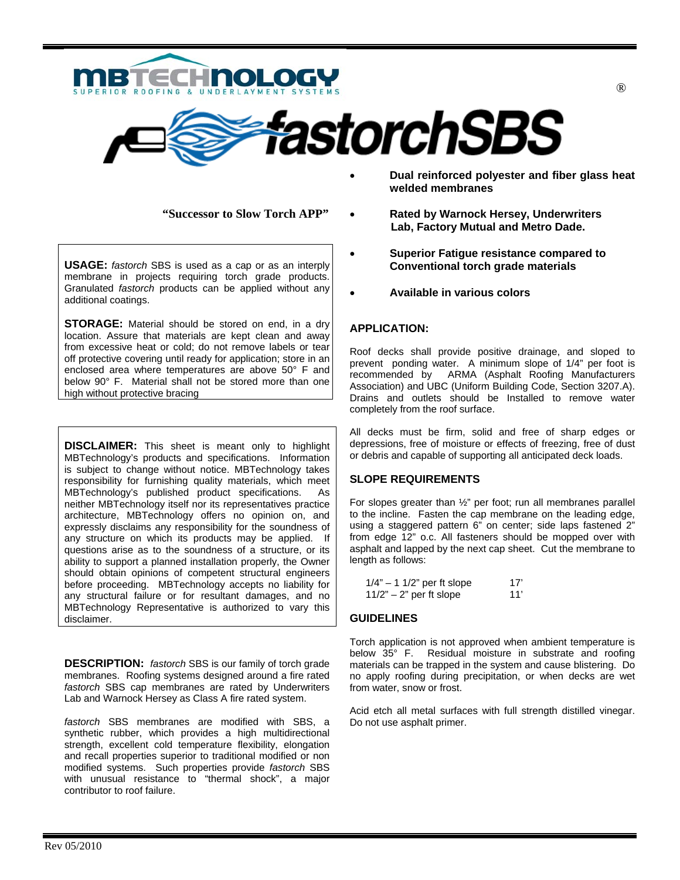



 **"Successor to Slow Torch APP"**

**USAGE:** *fastorch* SBS is used as a cap or as an interply membrane in projects requiring torch grade products. Granulated *fastorch* products can be applied without any additional coatings.

**STORAGE:** Material should be stored on end, in a dry location. Assure that materials are kept clean and away from excessive heat or cold; do not remove labels or tear off protective covering until ready for application; store in an enclosed area where temperatures are above 50° F and below 90° F. Material shall not be stored more than one high without protective bracing

**DISCLAIMER:** This sheet is meant only to highlight MBTechnology's products and specifications. Information is subject to change without notice. MBTechnology takes responsibility for furnishing quality materials, which meet MBTechnology's published product specifications. As neither MBTechnology itself nor its representatives practice architecture, MBTechnology offers no opinion on, and expressly disclaims any responsibility for the soundness of any structure on which its products may be applied. If questions arise as to the soundness of a structure, or its ability to support a planned installation properly, the Owner should obtain opinions of competent structural engineers before proceeding. MBTechnology accepts no liability for any structural failure or for resultant damages, and no MBTechnology Representative is authorized to vary this disclaimer.

**DESCRIPTION:** *fastorch* SBS is our family of torch grade membranes. Roofing systems designed around a fire rated *fastorch* SBS cap membranes are rated by Underwriters Lab and Warnock Hersey as Class A fire rated system.

*fastorch* SBS membranes are modified with SBS, a synthetic rubber, which provides a high multidirectional strength, excellent cold temperature flexibility, elongation and recall properties superior to traditional modified or non modified systems. Such properties provide *fastorch* SBS with unusual resistance to "thermal shock", a major contributor to roof failure.

- **Dual reinforced polyester and fiber glass heat welded membranes**
- **Rated by Warnock Hersey, Underwriters Lab, Factory Mutual and Metro Dade.**
- **Superior Fatigue resistance compared to Conventional torch grade materials**
- **Available in various colors**

### **APPLICATION:**

Roof decks shall provide positive drainage, and sloped to prevent ponding water. A minimum slope of 1/4" per foot is recommended by ARMA (Asphalt Roofing Manufacturers Association) and UBC (Uniform Building Code, Section 3207.A). Drains and outlets should be Installed to remove water completely from the roof surface.

All decks must be firm, solid and free of sharp edges or depressions, free of moisture or effects of freezing, free of dust or debris and capable of supporting all anticipated deck loads.

#### **SLOPE REQUIREMENTS**

For slopes greater than ½" per foot; run all membranes parallel to the incline. Fasten the cap membrane on the leading edge, using a staggered pattern 6" on center; side laps fastened 2" from edge 12" o.c. All fasteners should be mopped over with asphalt and lapped by the next cap sheet. Cut the membrane to length as follows:

| $1/4" - 11/2"$ per ft slope | 17' |
|-----------------------------|-----|
| $11/2"$ – 2" per ft slope   | 11' |

# **GUIDELINES**

Torch application is not approved when ambient temperature is below 35° F. Residual moisture in substrate and roofing materials can be trapped in the system and cause blistering. Do no apply roofing during precipitation, or when decks are wet from water, snow or frost.

Acid etch all metal surfaces with full strength distilled vinegar. Do not use asphalt primer.